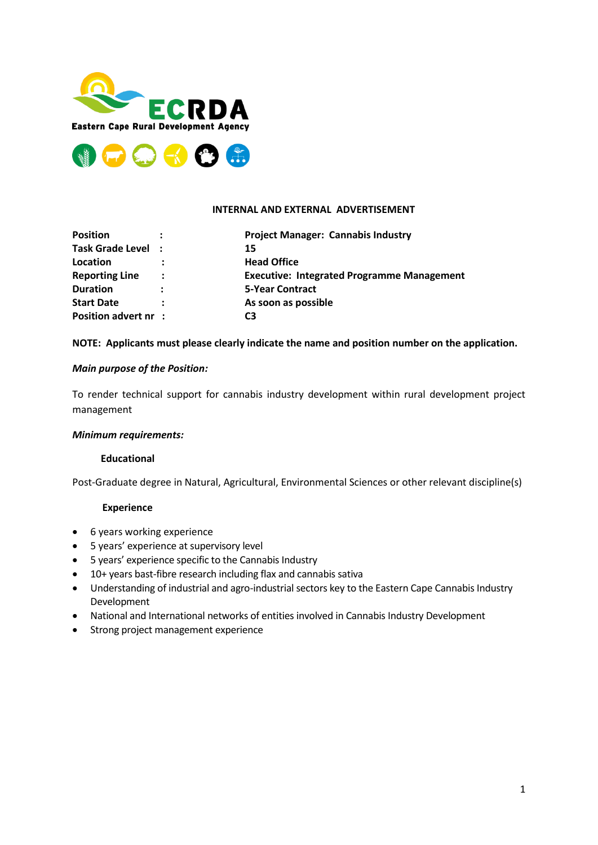



#### **INTERNAL AND EXTERNAL ADVERTISEMENT**

| <b>Position</b>       |                      | <b>Project Manager: Cannabis Industry</b>         |
|-----------------------|----------------------|---------------------------------------------------|
| Task Grade Level :    |                      | 15                                                |
| Location              |                      | <b>Head Office</b>                                |
| <b>Reporting Line</b> | ÷                    | <b>Executive: Integrated Programme Management</b> |
| <b>Duration</b>       | $\ddot{\phantom{a}}$ | <b>5-Year Contract</b>                            |
| <b>Start Date</b>     |                      | As soon as possible                               |
| Position advert nr :  |                      | C3                                                |

## **NOTE: Applicants must please clearly indicate the name and position number on the application.**

## *Main purpose of the Position:*

To render technical support for cannabis industry development within rural development project management

#### *Minimum requirements:*

#### **Educational**

Post-Graduate degree in Natural, Agricultural, Environmental Sciences or other relevant discipline(s)

#### **Experience**

- 6 years working experience
- 5 years' experience at supervisory level
- 5 years' experience specific to the Cannabis Industry
- 10+ years bast-fibre research including flax and cannabis sativa
- Understanding of industrial and agro-industrial sectors key to the Eastern Cape Cannabis Industry Development
- National and International networks of entities involved in Cannabis Industry Development
- Strong project management experience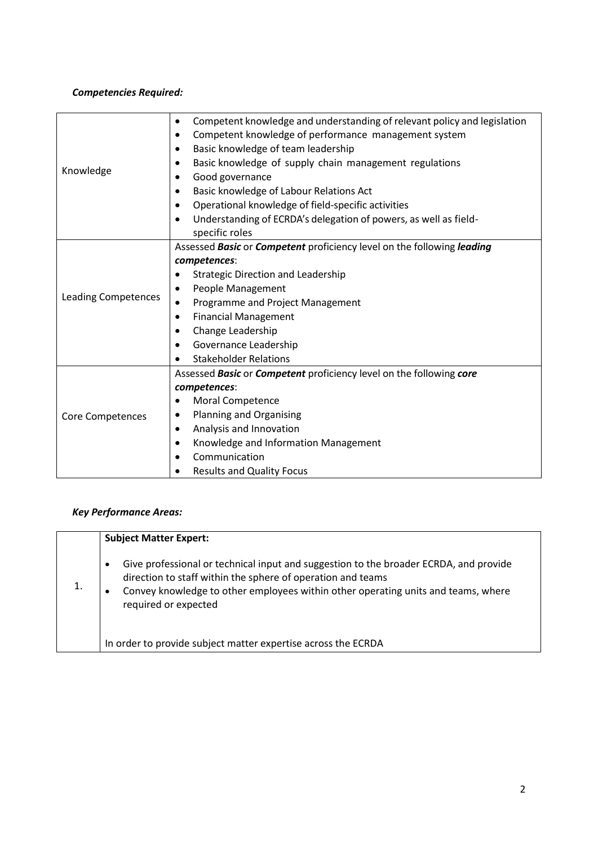# *Competencies Required:*

|                            | Competent knowledge and understanding of relevant policy and legislation<br>$\bullet$ |  |  |
|----------------------------|---------------------------------------------------------------------------------------|--|--|
| Knowledge                  | Competent knowledge of performance management system<br>٠                             |  |  |
|                            | Basic knowledge of team leadership<br>$\bullet$                                       |  |  |
|                            | Basic knowledge of supply chain management regulations<br>$\bullet$                   |  |  |
|                            | Good governance<br>$\bullet$                                                          |  |  |
|                            | Basic knowledge of Labour Relations Act                                               |  |  |
|                            | Operational knowledge of field-specific activities                                    |  |  |
|                            | Understanding of ECRDA's delegation of powers, as well as field-<br>$\bullet$         |  |  |
|                            | specific roles                                                                        |  |  |
|                            | Assessed Basic or Competent proficiency level on the following leading                |  |  |
|                            | competences:                                                                          |  |  |
|                            | <b>Strategic Direction and Leadership</b>                                             |  |  |
|                            | People Management                                                                     |  |  |
| <b>Leading Competences</b> | Programme and Project Management                                                      |  |  |
|                            | <b>Financial Management</b>                                                           |  |  |
|                            | Change Leadership<br>٠                                                                |  |  |
|                            | Governance Leadership<br>$\bullet$                                                    |  |  |
|                            | <b>Stakeholder Relations</b>                                                          |  |  |
|                            | Assessed Basic or Competent proficiency level on the following core                   |  |  |
|                            | competences:                                                                          |  |  |
|                            | Moral Competence                                                                      |  |  |
| <b>Core Competences</b>    | Planning and Organising<br>$\bullet$                                                  |  |  |
|                            | Analysis and Innovation<br>$\bullet$                                                  |  |  |
|                            | Knowledge and Information Management                                                  |  |  |
|                            | Communication<br>$\bullet$                                                            |  |  |
|                            | <b>Results and Quality Focus</b>                                                      |  |  |

# *Key Performance Areas:*

| <b>Subject Matter Expert:</b>                                                                                                                                                                                                                                                  |
|--------------------------------------------------------------------------------------------------------------------------------------------------------------------------------------------------------------------------------------------------------------------------------|
| Give professional or technical input and suggestion to the broader ECRDA, and provide<br>$\bullet$<br>direction to staff within the sphere of operation and teams<br>Convey knowledge to other employees within other operating units and teams, where<br>required or expected |
| In order to provide subject matter expertise across the ECRDA                                                                                                                                                                                                                  |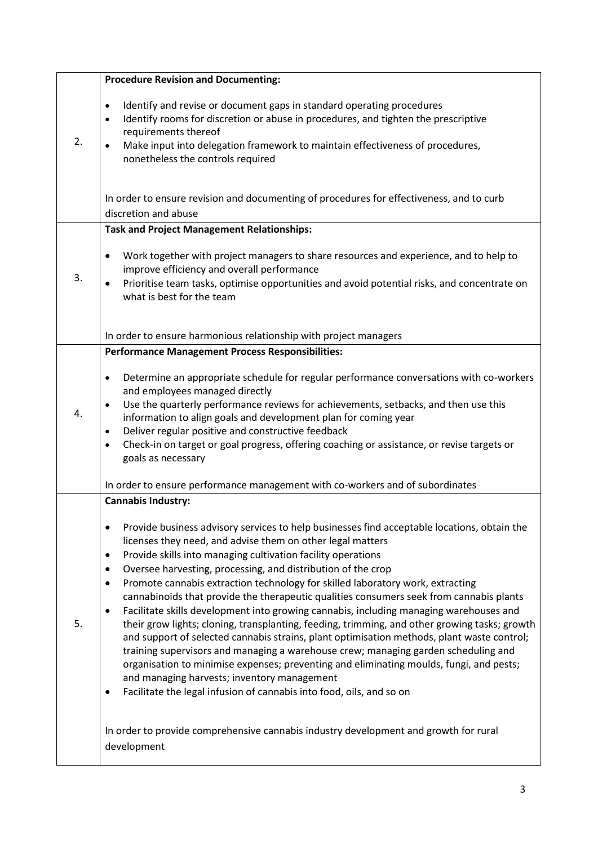|    | <b>Procedure Revision and Documenting:</b>                                                                                                                                                                                                                                                                                                                                                                                                                                                                                                                                                                                                                                                                                                                                                                                                                                                                                                                                                                                                                                                                                                            |
|----|-------------------------------------------------------------------------------------------------------------------------------------------------------------------------------------------------------------------------------------------------------------------------------------------------------------------------------------------------------------------------------------------------------------------------------------------------------------------------------------------------------------------------------------------------------------------------------------------------------------------------------------------------------------------------------------------------------------------------------------------------------------------------------------------------------------------------------------------------------------------------------------------------------------------------------------------------------------------------------------------------------------------------------------------------------------------------------------------------------------------------------------------------------|
| 2. | Identify and revise or document gaps in standard operating procedures<br>$\bullet$<br>Identify rooms for discretion or abuse in procedures, and tighten the prescriptive<br>$\bullet$<br>requirements thereof<br>Make input into delegation framework to maintain effectiveness of procedures,<br>nonetheless the controls required                                                                                                                                                                                                                                                                                                                                                                                                                                                                                                                                                                                                                                                                                                                                                                                                                   |
|    | In order to ensure revision and documenting of procedures for effectiveness, and to curb<br>discretion and abuse                                                                                                                                                                                                                                                                                                                                                                                                                                                                                                                                                                                                                                                                                                                                                                                                                                                                                                                                                                                                                                      |
|    | <b>Task and Project Management Relationships:</b>                                                                                                                                                                                                                                                                                                                                                                                                                                                                                                                                                                                                                                                                                                                                                                                                                                                                                                                                                                                                                                                                                                     |
| 3. | Work together with project managers to share resources and experience, and to help to<br>$\bullet$<br>improve efficiency and overall performance<br>Prioritise team tasks, optimise opportunities and avoid potential risks, and concentrate on<br>$\bullet$<br>what is best for the team                                                                                                                                                                                                                                                                                                                                                                                                                                                                                                                                                                                                                                                                                                                                                                                                                                                             |
|    | In order to ensure harmonious relationship with project managers                                                                                                                                                                                                                                                                                                                                                                                                                                                                                                                                                                                                                                                                                                                                                                                                                                                                                                                                                                                                                                                                                      |
|    | <b>Performance Management Process Responsibilities:</b>                                                                                                                                                                                                                                                                                                                                                                                                                                                                                                                                                                                                                                                                                                                                                                                                                                                                                                                                                                                                                                                                                               |
| 4. | Determine an appropriate schedule for regular performance conversations with co-workers<br>$\bullet$<br>and employees managed directly<br>Use the quarterly performance reviews for achievements, setbacks, and then use this<br>information to align goals and development plan for coming year<br>Deliver regular positive and constructive feedback<br>$\bullet$<br>Check-in on target or goal progress, offering coaching or assistance, or revise targets or<br>$\bullet$<br>goals as necessary                                                                                                                                                                                                                                                                                                                                                                                                                                                                                                                                                                                                                                                  |
|    |                                                                                                                                                                                                                                                                                                                                                                                                                                                                                                                                                                                                                                                                                                                                                                                                                                                                                                                                                                                                                                                                                                                                                       |
|    | In order to ensure performance management with co-workers and of subordinates                                                                                                                                                                                                                                                                                                                                                                                                                                                                                                                                                                                                                                                                                                                                                                                                                                                                                                                                                                                                                                                                         |
|    | <b>Cannabis Industry:</b>                                                                                                                                                                                                                                                                                                                                                                                                                                                                                                                                                                                                                                                                                                                                                                                                                                                                                                                                                                                                                                                                                                                             |
| 5. | Provide business advisory services to help businesses find acceptable locations, obtain the<br>$\bullet$<br>licenses they need, and advise them on other legal matters<br>Provide skills into managing cultivation facility operations<br>$\bullet$<br>Oversee harvesting, processing, and distribution of the crop<br>$\bullet$<br>Promote cannabis extraction technology for skilled laboratory work, extracting<br>$\bullet$<br>cannabinoids that provide the therapeutic qualities consumers seek from cannabis plants<br>Facilitate skills development into growing cannabis, including managing warehouses and<br>$\bullet$<br>their grow lights; cloning, transplanting, feeding, trimming, and other growing tasks; growth<br>and support of selected cannabis strains, plant optimisation methods, plant waste control;<br>training supervisors and managing a warehouse crew; managing garden scheduling and<br>organisation to minimise expenses; preventing and eliminating moulds, fungi, and pests;<br>and managing harvests; inventory management<br>Facilitate the legal infusion of cannabis into food, oils, and so on<br>$\bullet$ |
|    | In order to provide comprehensive cannabis industry development and growth for rural<br>development                                                                                                                                                                                                                                                                                                                                                                                                                                                                                                                                                                                                                                                                                                                                                                                                                                                                                                                                                                                                                                                   |